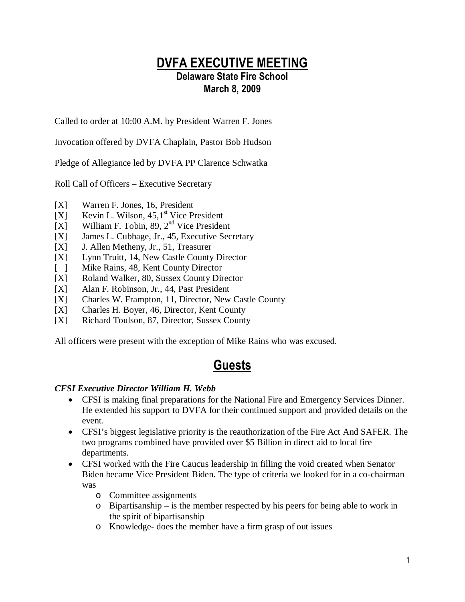## DVFA EXECUTIVE MEETING Delaware State Fire School March 8, 2009

Called to order at 10:00 A.M. by President Warren F. Jones

Invocation offered by DVFA Chaplain, Pastor Bob Hudson

Pledge of Allegiance led by DVFA PP Clarence Schwatka

Roll Call of Officers – Executive Secretary

- [X] Warren F. Jones, 16, President
- [X] Kevin L. Wilson,  $45.1^{\text{st}}$  Vice President
- [X] William F. Tobin, 89,  $2<sup>nd</sup>$  Vice President
- [X] James L. Cubbage, Jr., 45, Executive Secretary
- [X] J. Allen Metheny, Jr., 51, Treasurer
- [X] Lynn Truitt, 14, New Castle County Director
- [ ] Mike Rains, 48, Kent County Director
- [X] Roland Walker, 80, Sussex County Director
- [X] Alan F. Robinson, Jr., 44, Past President
- [X] Charles W. Frampton, 11, Director, New Castle County
- [X] Charles H. Boyer, 46, Director, Kent County
- [X] Richard Toulson, 87, Director, Sussex County

All officers were present with the exception of Mike Rains who was excused.

# Guests

## *CFSI Executive Director William H. Webb*

- CFSI is making final preparations for the National Fire and Emergency Services Dinner. He extended his support to DVFA for their continued support and provided details on the event.
- CFSI's biggest legislative priority is the reauthorization of the Fire Act And SAFER. The two programs combined have provided over \$5 Billion in direct aid to local fire departments.
- CFSI worked with the Fire Caucus leadership in filling the void created when Senator Biden became Vice President Biden. The type of criteria we looked for in a co-chairman was
	- o Committee assignments
	- o Bipartisanship is the member respected by his peers for being able to work in the spirit of bipartisanship
	- o Knowledge- does the member have a firm grasp of out issues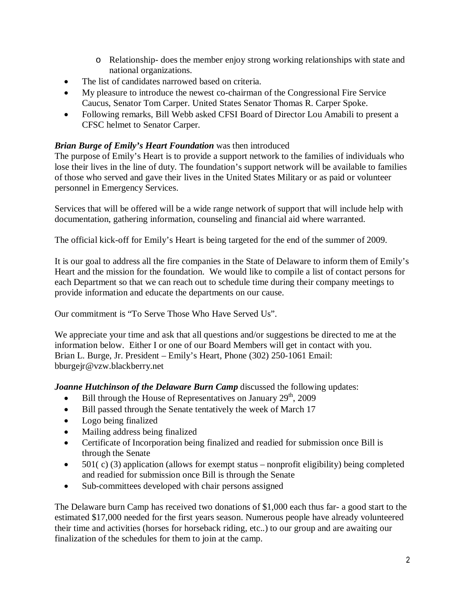- o Relationship- does the member enjoy strong working relationships with state and national organizations.
- The list of candidates narrowed based on criteria.
- My pleasure to introduce the newest co-chairman of the Congressional Fire Service Caucus, Senator Tom Carper. United States Senator Thomas R. Carper Spoke.
- Following remarks, Bill Webb asked CFSI Board of Director Lou Amabili to present a CFSC helmet to Senator Carper.

## *Brian Burge of Emily's Heart Foundation* was then introduced

The purpose of Emily's Heart is to provide a support network to the families of individuals who lose their lives in the line of duty. The foundation's support network will be available to families of those who served and gave their lives in the United States Military or as paid or volunteer personnel in Emergency Services.

Services that will be offered will be a wide range network of support that will include help with documentation, gathering information, counseling and financial aid where warranted.

The official kick-off for Emily's Heart is being targeted for the end of the summer of 2009.

It is our goal to address all the fire companies in the State of Delaware to inform them of Emily's Heart and the mission for the foundation. We would like to compile a list of contact persons for each Department so that we can reach out to schedule time during their company meetings to provide information and educate the departments on our cause.

Our commitment is "To Serve Those Who Have Served Us".

We appreciate your time and ask that all questions and/or suggestions be directed to me at the information below. Either I or one of our Board Members will get in contact with you. Brian L. Burge, Jr. President – Emily's Heart, Phone (302) 250-1061 Email: bburgejr@vzw.blackberry.net

*Joanne Hutchinson of the Delaware Burn Camp* discussed the following updates:

- Bill through the House of Representatives on January  $29<sup>th</sup>$ , 2009
- Bill passed through the Senate tentatively the week of March 17
- Logo being finalized
- Mailing address being finalized
- Certificate of Incorporation being finalized and readied for submission once Bill is through the Senate
- 501( $\,c$ ) (3) application (allows for exempt status nonprofit eligibility) being completed and readied for submission once Bill is through the Senate
- Sub-committees developed with chair persons assigned

The Delaware burn Camp has received two donations of \$1,000 each thus far- a good start to the estimated \$17,000 needed for the first years season. Numerous people have already volunteered their time and activities (horses for horseback riding, etc..) to our group and are awaiting our finalization of the schedules for them to join at the camp.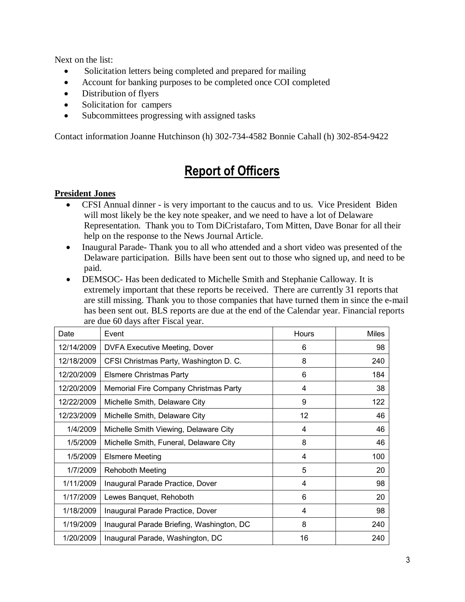Next on the list:

- Solicitation letters being completed and prepared for mailing
- Account for banking purposes to be completed once COI completed
- Distribution of flyers
- Solicitation for campers
- Subcommittees progressing with assigned tasks

Contact information Joanne Hutchinson (h) 302-734-4582 Bonnie Cahall (h) 302-854-9422

# Report of Officers

## **President Jones**

- CFSI Annual dinner is very important to the caucus and to us. Vice President Biden will most likely be the key note speaker, and we need to have a lot of Delaware Representation. Thank you to Tom DiCristafaro, Tom Mitten, Dave Bonar for all their help on the response to the News Journal Article.
- Inaugural Parade- Thank you to all who attended and a short video was presented of the Delaware participation. Bills have been sent out to those who signed up, and need to be paid.
- DEMSOC- Has been dedicated to Michelle Smith and Stephanie Calloway. It is extremely important that these reports be received. There are currently 31 reports that are still missing. Thank you to those companies that have turned them in since the e-mail has been sent out. BLS reports are due at the end of the Calendar year. Financial reports are due 60 days after Fiscal year.

| Date       | Event                                     | Hours | <b>Miles</b> |
|------------|-------------------------------------------|-------|--------------|
| 12/14/2009 | <b>DVFA Executive Meeting, Dover</b>      | 6     | 98           |
| 12/18/2009 | CFSI Christmas Party, Washington D. C.    | 8     | 240          |
| 12/20/2009 | <b>Elsmere Christmas Party</b>            | 6     | 184          |
| 12/20/2009 | Memorial Fire Company Christmas Party     | 4     | 38           |
| 12/22/2009 | Michelle Smith, Delaware City             | 9     | 122          |
| 12/23/2009 | Michelle Smith, Delaware City             | 12    | 46           |
| 1/4/2009   | Michelle Smith Viewing, Delaware City     | 4     | 46           |
| 1/5/2009   | Michelle Smith, Funeral, Delaware City    | 8     | 46           |
| 1/5/2009   | <b>Elsmere Meeting</b>                    | 4     | 100          |
| 1/7/2009   | <b>Rehoboth Meeting</b>                   | 5     | 20           |
| 1/11/2009  | Inaugural Parade Practice, Dover          | 4     | 98           |
| 1/17/2009  | Lewes Banquet, Rehoboth                   | 6     | 20           |
| 1/18/2009  | Inaugural Parade Practice, Dover          | 4     | 98           |
| 1/19/2009  | Inaugural Parade Briefing, Washington, DC | 8     | 240          |
| 1/20/2009  | Inaugural Parade, Washington, DC          | 16    | 240          |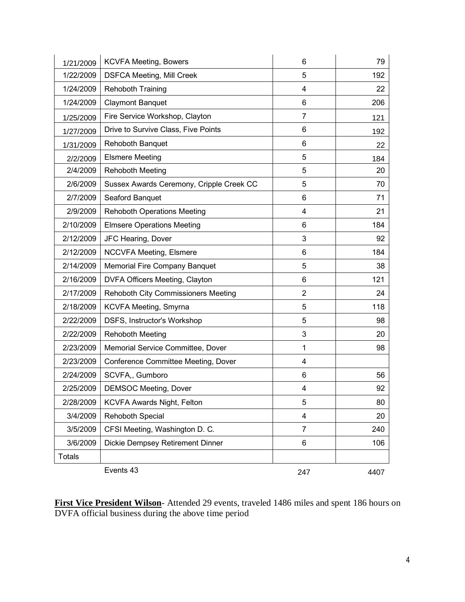| 1/21/2009     | <b>KCVFA Meeting, Bowers</b>               | 6              | 79   |
|---------------|--------------------------------------------|----------------|------|
| 1/22/2009     | <b>DSFCA Meeting, Mill Creek</b>           | 5              | 192  |
| 1/24/2009     | <b>Rehoboth Training</b>                   | 4              | 22   |
| 1/24/2009     | <b>Claymont Banquet</b>                    | 6              | 206  |
| 1/25/2009     | Fire Service Workshop, Clayton             | $\overline{7}$ | 121  |
| 1/27/2009     | Drive to Survive Class, Five Points        | 6              | 192  |
| 1/31/2009     | Rehoboth Banquet                           | 6              | 22   |
| 2/2/2009      | <b>Elsmere Meeting</b>                     | 5              | 184  |
| 2/4/2009      | <b>Rehoboth Meeting</b>                    | 5              | 20   |
| 2/6/2009      | Sussex Awards Ceremony, Cripple Creek CC   | 5              | 70   |
| 2/7/2009      | Seaford Banquet                            | 6              | 71   |
| 2/9/2009      | <b>Rehoboth Operations Meeting</b>         | 4              | 21   |
| 2/10/2009     | <b>Elmsere Operations Meeting</b>          | 6              | 184  |
| 2/12/2009     | JFC Hearing, Dover                         | 3              | 92   |
| 2/12/2009     | <b>NCCVFA Meeting, Elsmere</b>             | 6              | 184  |
| 2/14/2009     | Memorial Fire Company Banquet              | 5              | 38   |
| 2/16/2009     | DVFA Officers Meeting, Clayton             | 6              | 121  |
| 2/17/2009     | <b>Rehoboth City Commissioners Meeting</b> | $\overline{2}$ | 24   |
| 2/18/2009     | KCVFA Meeting, Smyrna                      | 5              | 118  |
| 2/22/2009     | DSFS, Instructor's Workshop                | 5              | 98   |
| 2/22/2009     | <b>Rehoboth Meeting</b>                    | 3              | 20   |
| 2/23/2009     | Memorial Service Committee, Dover          | $\mathbf{1}$   | 98   |
| 2/23/2009     | Conference Committee Meeting, Dover        | 4              |      |
| 2/24/2009     | SCVFA,, Gumboro                            | 6              | 56   |
| 2/25/2009     | <b>DEMSOC Meeting, Dover</b>               | 4              | 92   |
| 2/28/2009     | KCVFA Awards Night, Felton                 | 5              | 80   |
| 3/4/2009      | Rehoboth Special                           | 4              | 20   |
| 3/5/2009      | CFSI Meeting, Washington D. C.             | 7              | 240  |
| 3/6/2009      | Dickie Dempsey Retirement Dinner           | 6              | 106  |
| <b>Totals</b> |                                            |                |      |
|               | Events 43                                  | 247            | 4407 |

**First Vice President Wilson**- Attended 29 events, traveled 1486 miles and spent 186 hours on DVFA official business during the above time period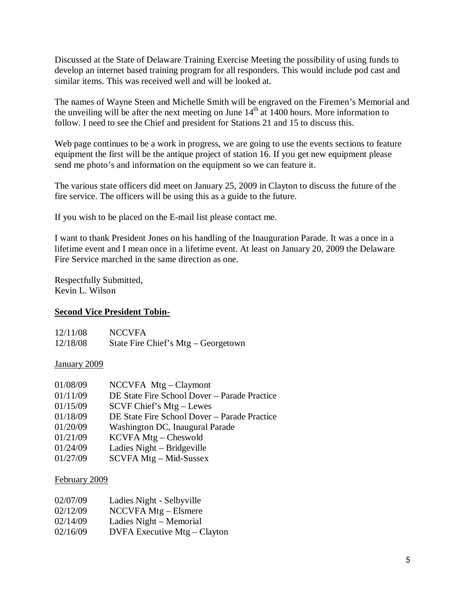Discussed at the State of Delaware Training Exercise Meeting the possibility of using funds to develop an internet based training program for all responders. This would include pod cast and similar items. This was received well and will be looked at.

The names of Wayne Steen and Michelle Smith will be engraved on the Firemen's Memorial and the unveiling will be after the next meeting on June  $14<sup>th</sup>$  at 1400 hours. More information to follow. I need to see the Chief and president for Stations 21 and 15 to discuss this.

Web page continues to be a work in progress, we are going to use the events sections to feature equipment the first will be the antique project of station 16. If you get new equipment please send me photo's and information on the equipment so we can feature it.

The various state officers did meet on January 25, 2009 in Clayton to discuss the future of the fire service. The officers will be using this as a guide to the future.

If you wish to be placed on the E-mail list please contact me.

I want to thank President Jones on his handling of the Inauguration Parade. It was a once in a lifetime event and I mean once in a lifetime event. At least on January 20, 2009 the Delaware Fire Service marched in the same direction as one.

Respectfully Submitted, Kevin L. Wilson

## **Second Vice President Tobin-**

| 12/11/08 | <b>NCCVFA</b>                       |
|----------|-------------------------------------|
| 12/18/08 | State Fire Chief's Mtg – Georgetown |

#### January 2009

| 01/08/09 | $NCCVFA$ Mtg – Claymont                      |
|----------|----------------------------------------------|
| 01/11/09 | DE State Fire School Dover – Parade Practice |
| 01/15/09 | SCVF Chief's Mtg – Lewes                     |
| 01/18/09 | DE State Fire School Dover - Parade Practice |
| 01/20/09 | Washington DC, Inaugural Parade              |
| 01/21/09 | $KCVFA Mtg - Cheswold$                       |
| 01/24/09 | Ladies Night – Bridgeville                   |
| 01/27/09 | SCVFA Mtg – Mid-Sussex                       |
|          |                                              |

#### February 2009

| 02/07/09 | Ladies Night - Selbyville      |
|----------|--------------------------------|
| 02/12/09 | $NCCVFA Mtg - Elsmere$         |
| 02/14/09 | Ladies Night – Memorial        |
| 02/16/09 | $DVFA$ Executive Mtg – Clayton |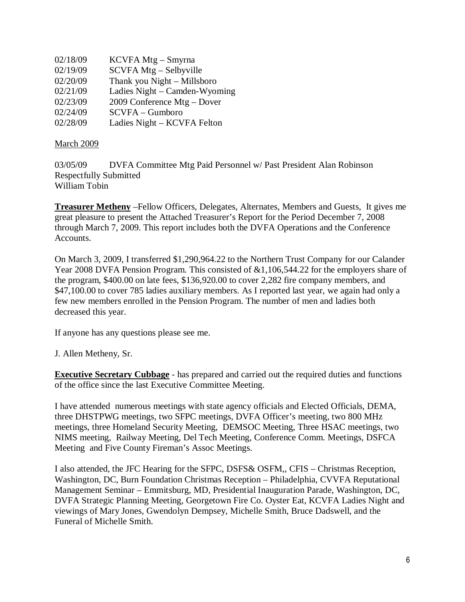| 02/18/09 | KCVFA Mtg – Smyrna            |
|----------|-------------------------------|
| 02/19/09 | SCVFA Mtg – Selbyville        |
| 02/20/09 | Thank you Night - Millsboro   |
| 02/21/09 | Ladies Night – Camden-Wyoming |
| 02/23/09 | 2009 Conference Mtg – Dover   |
| 02/24/09 | $SCVFA - Gumboro$             |
| 02/28/09 | Ladies Night - KCVFA Felton   |

#### March 2009

03/05/09 DVFA Committee Mtg Paid Personnel w/ Past President Alan Robinson Respectfully Submitted William Tobin

**Treasurer Metheny** –Fellow Officers, Delegates, Alternates, Members and Guests, It gives me great pleasure to present the Attached Treasurer's Report for the Period December 7, 2008 through March 7, 2009. This report includes both the DVFA Operations and the Conference Accounts.

On March 3, 2009, I transferred \$1,290,964.22 to the Northern Trust Company for our Calander Year 2008 DVFA Pension Program. This consisted of &1,106,544.22 for the employers share of the program, \$400.00 on late fees, \$136,920.00 to cover 2,282 fire company members, and \$47,100.00 to cover 785 ladies auxiliary members. As I reported last year, we again had only a few new members enrolled in the Pension Program. The number of men and ladies both decreased this year.

If anyone has any questions please see me.

J. Allen Metheny, Sr.

**Executive Secretary Cubbage** - has prepared and carried out the required duties and functions of the office since the last Executive Committee Meeting.

I have attended numerous meetings with state agency officials and Elected Officials, DEMA, three DHSTPWG meetings, two SFPC meetings, DVFA Officer's meeting, two 800 MHz meetings, three Homeland Security Meeting, DEMSOC Meeting, Three HSAC meetings, two NIMS meeting, Railway Meeting, Del Tech Meeting, Conference Comm. Meetings, DSFCA Meeting and Five County Fireman's Assoc Meetings.

I also attended, the JFC Hearing for the SFPC, DSFS& OSFM,, CFIS – Christmas Reception, Washington, DC, Burn Foundation Christmas Reception – Philadelphia, CVVFA Reputational Management Seminar – Emmitsburg, MD, Presidential Inauguration Parade, Washington, DC, DVFA Strategic Planning Meeting, Georgetown Fire Co. Oyster Eat, KCVFA Ladies Night and viewings of Mary Jones, Gwendolyn Dempsey, Michelle Smith, Bruce Dadswell, and the Funeral of Michelle Smith.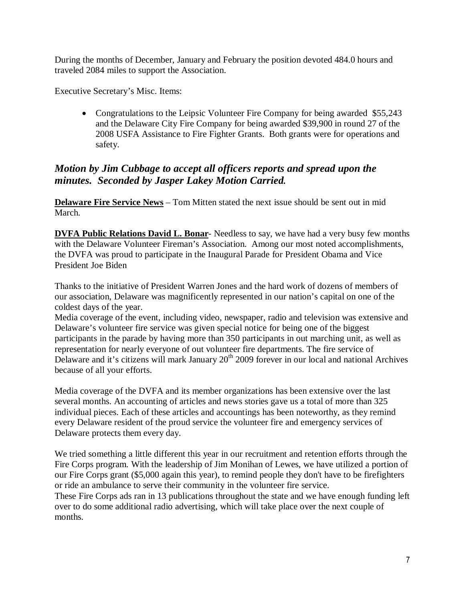During the months of December, January and February the position devoted 484.0 hours and traveled 2084 miles to support the Association.

Executive Secretary's Misc. Items:

• Congratulations to the Leipsic Volunteer Fire Company for being awarded \$55,243 and the Delaware City Fire Company for being awarded \$39,900 in round 27 of the 2008 USFA Assistance to Fire Fighter Grants. Both grants were for operations and safety.

## *Motion by Jim Cubbage to accept all officers reports and spread upon the minutes. Seconded by Jasper Lakey Motion Carried.*

**Delaware Fire Service News** – Tom Mitten stated the next issue should be sent out in mid March.

**DVFA Public Relations David L. Bonar**- Needless to say, we have had a very busy few months with the Delaware Volunteer Fireman's Association. Among our most noted accomplishments, the DVFA was proud to participate in the Inaugural Parade for President Obama and Vice President Joe Biden

Thanks to the initiative of President Warren Jones and the hard work of dozens of members of our association, Delaware was magnificently represented in our nation's capital on one of the coldest days of the year.

Media coverage of the event, including video, newspaper, radio and television was extensive and Delaware's volunteer fire service was given special notice for being one of the biggest participants in the parade by having more than 350 participants in out marching unit, as well as representation for nearly everyone of out volunteer fire departments. The fire service of Delaware and it's citizens will mark January  $20<sup>th</sup>$  2009 forever in our local and national Archives because of all your efforts.

Media coverage of the DVFA and its member organizations has been extensive over the last several months. An accounting of articles and news stories gave us a total of more than 325 individual pieces. Each of these articles and accountings has been noteworthy, as they remind every Delaware resident of the proud service the volunteer fire and emergency services of Delaware protects them every day.

We tried something a little different this year in our recruitment and retention efforts through the Fire Corps program. With the leadership of Jim Monihan of Lewes, we have utilized a portion of our Fire Corps grant (\$5,000 again this year), to remind people they don't have to be firefighters or ride an ambulance to serve their community in the volunteer fire service.

These Fire Corps ads ran in 13 publications throughout the state and we have enough funding left over to do some additional radio advertising, which will take place over the next couple of months.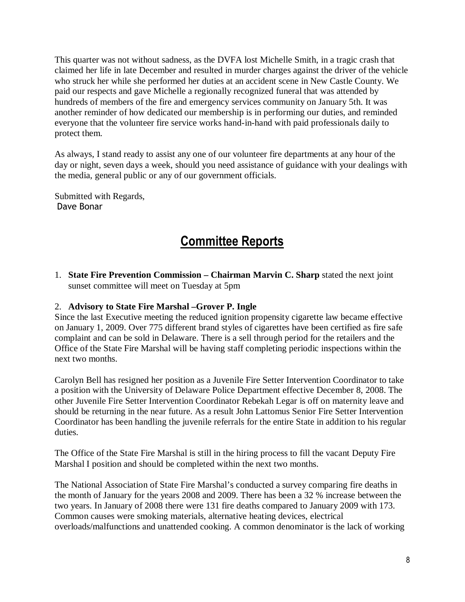This quarter was not without sadness, as the DVFA lost Michelle Smith, in a tragic crash that claimed her life in late December and resulted in murder charges against the driver of the vehicle who struck her while she performed her duties at an accident scene in New Castle County. We paid our respects and gave Michelle a regionally recognized funeral that was attended by hundreds of members of the fire and emergency services community on January 5th. It was another reminder of how dedicated our membership is in performing our duties, and reminded everyone that the volunteer fire service works hand-in-hand with paid professionals daily to protect them.

As always, I stand ready to assist any one of our volunteer fire departments at any hour of the day or night, seven days a week, should you need assistance of guidance with your dealings with the media, general public or any of our government officials.

Submitted with Regards, Dave Bonar

# Committee Reports

1. **State Fire Prevention Commission – Chairman Marvin C. Sharp** stated the next joint sunset committee will meet on Tuesday at 5pm

#### 2. **Advisory to State Fire Marshal –Grover P. Ingle**

Since the last Executive meeting the reduced ignition propensity cigarette law became effective on January 1, 2009. Over 775 different brand styles of cigarettes have been certified as fire safe complaint and can be sold in Delaware. There is a sell through period for the retailers and the Office of the State Fire Marshal will be having staff completing periodic inspections within the next two months.

Carolyn Bell has resigned her position as a Juvenile Fire Setter Intervention Coordinator to take a position with the University of Delaware Police Department effective December 8, 2008. The other Juvenile Fire Setter Intervention Coordinator Rebekah Legar is off on maternity leave and should be returning in the near future. As a result John Lattomus Senior Fire Setter Intervention Coordinator has been handling the juvenile referrals for the entire State in addition to his regular duties.

The Office of the State Fire Marshal is still in the hiring process to fill the vacant Deputy Fire Marshal I position and should be completed within the next two months.

The National Association of State Fire Marshal's conducted a survey comparing fire deaths in the month of January for the years 2008 and 2009. There has been a 32 % increase between the two years. In January of 2008 there were 131 fire deaths compared to January 2009 with 173. Common causes were smoking materials, alternative heating devices, electrical overloads/malfunctions and unattended cooking. A common denominator is the lack of working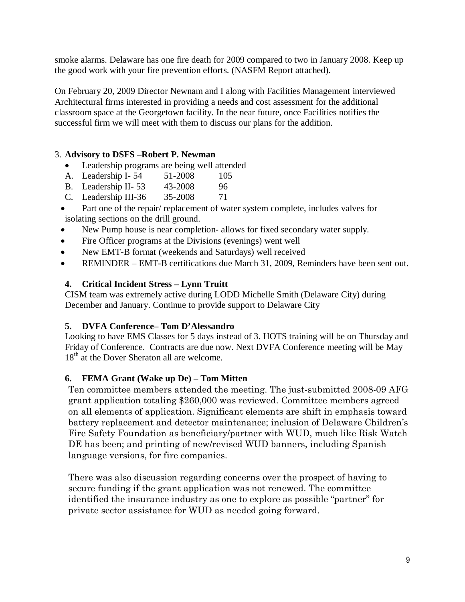smoke alarms. Delaware has one fire death for 2009 compared to two in January 2008. Keep up the good work with your fire prevention efforts. (NASFM Report attached).

On February 20, 2009 Director Newnam and I along with Facilities Management interviewed Architectural firms interested in providing a needs and cost assessment for the additional classroom space at the Georgetown facility. In the near future, once Facilities notifies the successful firm we will meet with them to discuss our plans for the addition.

## 3. **Advisory to DSFS –Robert P. Newman**

- Leadership programs are being well attended
- A. Leadership I-54 51-2008 105
- B. Leadership II- 53 43-2008 96
- C. Leadership III-36 35-2008 71
- Part one of the repair/ replacement of water system complete, includes valves for isolating sections on the drill ground.
- New Pump house is near completion- allows for fixed secondary water supply.
- Fire Officer programs at the Divisions (evenings) went well
- New EMT-B format (weekends and Saturdays) well received
- REMINDER EMT-B certifications due March 31, 2009, Reminders have been sent out.

## **4. Critical Incident Stress – Lynn Truitt**

CISM team was extremely active during LODD Michelle Smith (Delaware City) during December and January. Continue to provide support to Delaware City

## **5. DVFA Conference– Tom D'Alessandro**

Looking to have EMS Classes for 5 days instead of 3. HOTS training will be on Thursday and Friday of Conference. Contracts are due now. Next DVFA Conference meeting will be May 18<sup>th</sup> at the Dover Sheraton all are welcome.

## **6. FEMA Grant (Wake up De) – Tom Mitten**

Ten committee members attended the meeting. The just-submitted 2008-09 AFG grant application totaling \$260,000 was reviewed. Committee members agreed on all elements of application. Significant elements are shift in emphasis toward battery replacement and detector maintenance; inclusion of Delaware Children's Fire Safety Foundation as beneficiary/partner with WUD, much like Risk Watch DE has been; and printing of new/revised WUD banners, including Spanish language versions, for fire companies.

There was also discussion regarding concerns over the prospect of having to secure funding if the grant application was not renewed. The committee identified the insurance industry as one to explore as possible "partner" for private sector assistance for WUD as needed going forward.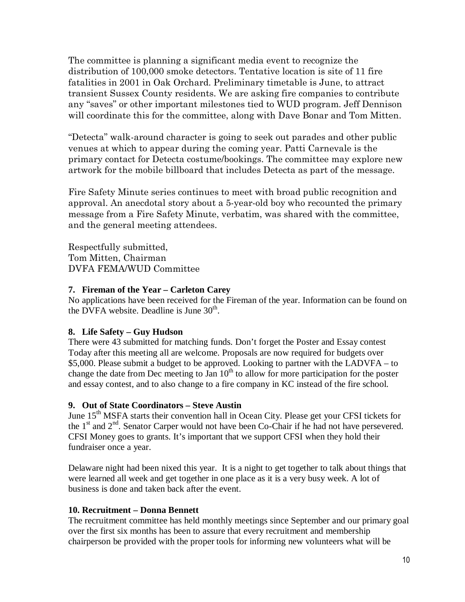The committee is planning a significant media event to recognize the distribution of 100,000 smoke detectors. Tentative location is site of 11 fire fatalities in 2001 in Oak Orchard. Preliminary timetable is June, to attract transient Sussex County residents. We are asking fire companies to contribute any "saves" or other important milestones tied to WUD program. Jeff Dennison will coordinate this for the committee, along with Dave Bonar and Tom Mitten.

"Detecta" walk-around character is going to seek out parades and other public venues at which to appear during the coming year. Patti Carnevale is the primary contact for Detecta costume/bookings. The committee may explore new artwork for the mobile billboard that includes Detecta as part of the message.

Fire Safety Minute series continues to meet with broad public recognition and approval. An anecdotal story about a 5-year-old boy who recounted the primary message from a Fire Safety Minute, verbatim, was shared with the committee, and the general meeting attendees.

Respectfully submitted, Tom Mitten, Chairman DVFA FEMA/WUD Committee

## **7. Fireman of the Year – Carleton Carey**

No applications have been received for the Fireman of the year. Information can be found on the DVFA website. Deadline is June  $30<sup>th</sup>$ .

## **8. Life Safety – Guy Hudson**

There were 43 submitted for matching funds. Don't forget the Poster and Essay contest Today after this meeting all are welcome. Proposals are now required for budgets over \$5,000. Please submit a budget to be approved. Looking to partner with the LADVFA – to change the date from Dec meeting to Jan  $10<sup>th</sup>$  to allow for more participation for the poster and essay contest, and to also change to a fire company in KC instead of the fire school.

## **9. Out of State Coordinators – Steve Austin**

June 15<sup>th</sup> MSFA starts their convention hall in Ocean City. Please get your CFSI tickets for the  $1<sup>st</sup>$  and  $2<sup>nd</sup>$ . Senator Carper would not have been Co-Chair if he had not have persevered. CFSI Money goes to grants. It's important that we support CFSI when they hold their fundraiser once a year.

Delaware night had been nixed this year. It is a night to get together to talk about things that were learned all week and get together in one place as it is a very busy week. A lot of business is done and taken back after the event.

## **10. Recruitment – Donna Bennett**

The recruitment committee has held monthly meetings since September and our primary goal over the first six months has been to assure that every recruitment and membership chairperson be provided with the proper tools for informing new volunteers what will be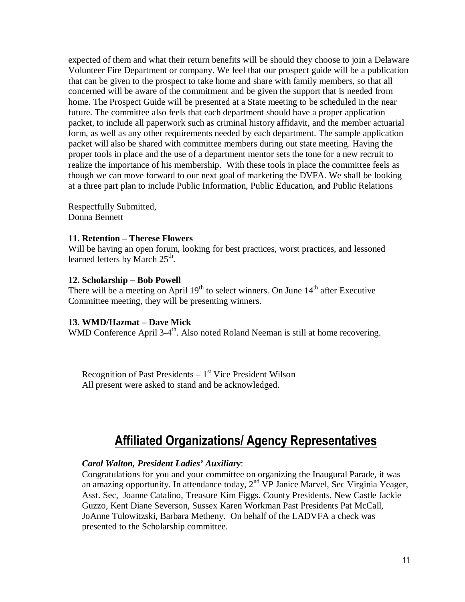expected of them and what their return benefits will be should they choose to join a Delaware Volunteer Fire Department or company. We feel that our prospect guide will be a publication that can be given to the prospect to take home and share with family members, so that all concerned will be aware of the commitment and be given the support that is needed from home. The Prospect Guide will be presented at a State meeting to be scheduled in the near future. The committee also feels that each department should have a proper application packet, to include all paperwork such as criminal history affidavit, and the member actuarial form, as well as any other requirements needed by each department. The sample application packet will also be shared with committee members during out state meeting. Having the proper tools in place and the use of a department mentor sets the tone for a new recruit to realize the importance of his membership. With these tools in place the committee feels as though we can move forward to our next goal of marketing the DVFA. We shall be looking at a three part plan to include Public Information, Public Education, and Public Relations

Respectfully Submitted, Donna Bennett

#### **11. Retention – Therese Flowers**

Will be having an open forum, looking for best practices, worst practices, and lessoned learned letters by March 25<sup>th</sup>.

#### **12. Scholarship – Bob Powell**

There will be a meeting on April  $19<sup>th</sup>$  to select winners. On June  $14<sup>th</sup>$  after Executive Committee meeting, they will be presenting winners.

#### **13. WMD/Hazmat – Dave Mick**

WMD Conference April 3-4<sup>th</sup>. Also noted Roland Neeman is still at home recovering.

Recognition of Past Presidents  $-1<sup>st</sup>$  Vice President Wilson All present were asked to stand and be acknowledged.

# Affiliated Organizations/ Agency Representatives

#### *Carol Walton, President Ladies' Auxiliary*:

Congratulations for you and your committee on organizing the Inaugural Parade, it was an amazing opportunity. In attendance today, 2<sup>nd</sup> VP Janice Marvel, Sec Virginia Yeager, Asst. Sec, Joanne Catalino, Treasure Kim Figgs. County Presidents, New Castle Jackie Guzzo, Kent Diane Severson, Sussex Karen Workman Past Presidents Pat McCall, JoAnne Tulowitzski, Barbara Metheny. On behalf of the LADVFA a check was presented to the Scholarship committee.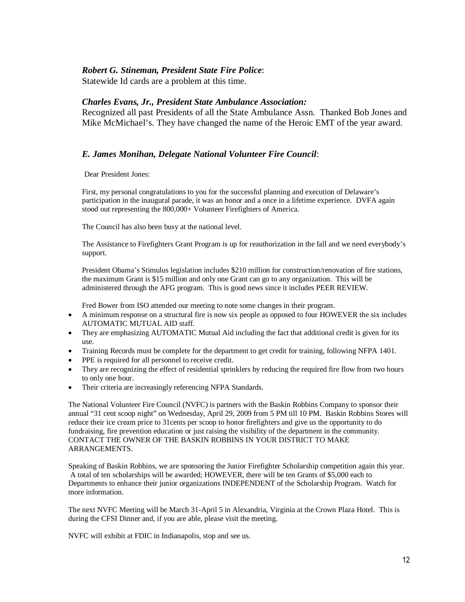#### *Robert G. Stineman, President State Fire Police*:

Statewide Id cards are a problem at this time.

#### *Charles Evans, Jr., President State Ambulance Association:*

Recognized all past Presidents of all the State Ambulance Assn. Thanked Bob Jones and Mike McMichael's. They have changed the name of the Heroic EMT of the year award.

#### *E. James Monihan, Delegate National Volunteer Fire Council*:

Dear President Jones:

First, my personal congratulations to you for the successful planning and execution of Delaware's participation in the inaugural parade, it was an honor and a once in a lifetime experience. DVFA again stood out representing the 800,000+ Volunteer Firefighters of America.

The Council has also been busy at the national level.

The Assistance to Firefighters Grant Program is up for reauthorization in the fall and we need everybody's support.

President Obama's Stimulus legislation includes \$210 million for construction/renovation of fire stations, the maximum Grant is \$15 million and only one Grant can go to any organization. This will be administered through the AFG program. This is good news since it includes PEER REVIEW.

Fred Bower from ISO attended our meeting to note some changes in their program.

- A minimum response on a structural fire is now six people as opposed to four HOWEVER the six includes AUTOMATIC MUTUAL AID staff.
- They are emphasizing AUTOMATIC Mutual Aid including the fact that additional credit is given for its use.
- Training Records must be complete for the department to get credit for training, following NFPA 1401.
- PPE is required for all personnel to receive credit.
- They are recognizing the effect of residential sprinklers by reducing the required fire flow from two hours to only one hour.
- Their criteria are increasingly referencing NFPA Standards.

The National Volunteer Fire Council (NVFC) is partners with the Baskin Robbins Company to sponsor their annual "31 cent scoop night" on Wednesday, April 29, 2009 from 5 PM till 10 PM. Baskin Robbins Stores will reduce their ice cream price to 31cents per scoop to honor firefighters and give us the opportunity to do fundraising, fire prevention education or just raising the visibility of the department in the community. CONTACT THE OWNER OF THE BASKIN ROBBINS IN YOUR DISTRICT TO MAKE ARRANGEMENTS.

Speaking of Baskin Robbins, we are sponsoring the Junior Firefighter Scholarship competition again this year. A total of ten scholarships will be awarded; HOWEVER, there will be ten Grants of \$5,000 each to Departments to enhance their junior organizations INDEPENDENT of the Scholarship Program. Watch for more information.

The next NVFC Meeting will be March 31-April 5 in Alexandria, Virginia at the Crown Plaza Hotel. This is during the CFSI Dinner and, if you are able, please visit the meeting.

NVFC will exhibit at FDIC in Indianapolis, stop and see us.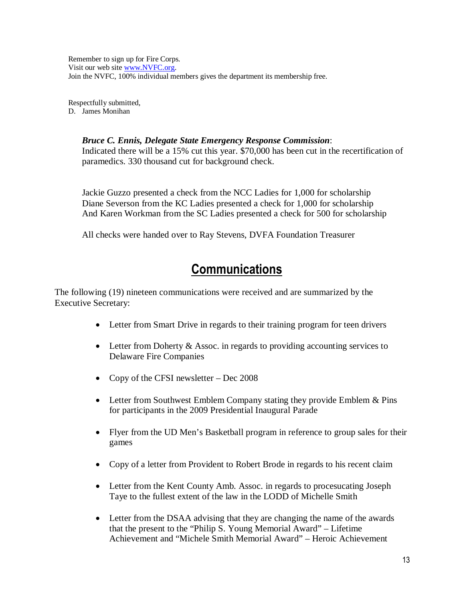Remember to sign up for Fire Corps. Visit our web site www.NVFC.org. Join the NVFC, 100% individual members gives the department its membership free.

Respectfully submitted, D. James Monihan

#### *Bruce C. Ennis, Delegate State Emergency Response Commission*:

Indicated there will be a 15% cut this year. \$70,000 has been cut in the recertification of paramedics. 330 thousand cut for background check.

Jackie Guzzo presented a check from the NCC Ladies for 1,000 for scholarship Diane Severson from the KC Ladies presented a check for 1,000 for scholarship And Karen Workman from the SC Ladies presented a check for 500 for scholarship

All checks were handed over to Ray Stevens, DVFA Foundation Treasurer

## **Communications**

The following (19) nineteen communications were received and are summarized by the Executive Secretary:

- Letter from Smart Drive in regards to their training program for teen drivers
- Letter from Doherty & Assoc. in regards to providing accounting services to Delaware Fire Companies
- Copy of the CFSI newsletter Dec 2008
- Letter from Southwest Emblem Company stating they provide Emblem & Pins for participants in the 2009 Presidential Inaugural Parade
- Flyer from the UD Men's Basketball program in reference to group sales for their games
- Copy of a letter from Provident to Robert Brode in regards to his recent claim
- Letter from the Kent County Amb. Assoc. in regards to procesucating Joseph Taye to the fullest extent of the law in the LODD of Michelle Smith
- Letter from the DSAA advising that they are changing the name of the awards that the present to the "Philip S. Young Memorial Award" – Lifetime Achievement and "Michele Smith Memorial Award" – Heroic Achievement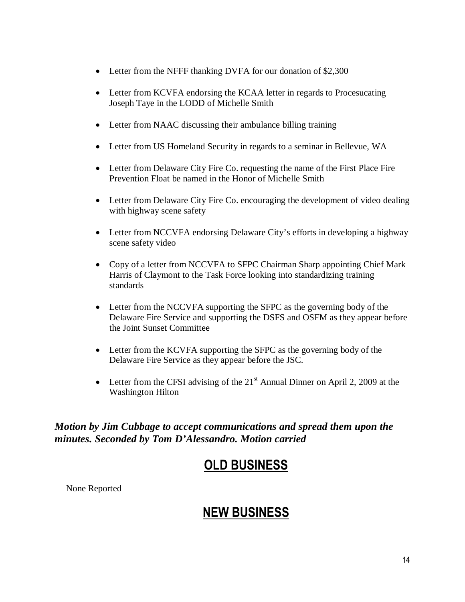- Letter from the NFFF thanking DVFA for our donation of \$2,300
- Letter from KCVFA endorsing the KCAA letter in regards to Procesucating Joseph Taye in the LODD of Michelle Smith
- Letter from NAAC discussing their ambulance billing training
- Letter from US Homeland Security in regards to a seminar in Bellevue, WA
- Letter from Delaware City Fire Co. requesting the name of the First Place Fire Prevention Float be named in the Honor of Michelle Smith
- Letter from Delaware City Fire Co. encouraging the development of video dealing with highway scene safety
- Letter from NCCVFA endorsing Delaware City's efforts in developing a highway scene safety video
- Copy of a letter from NCCVFA to SFPC Chairman Sharp appointing Chief Mark Harris of Claymont to the Task Force looking into standardizing training standards
- Letter from the NCCVFA supporting the SFPC as the governing body of the Delaware Fire Service and supporting the DSFS and OSFM as they appear before the Joint Sunset Committee
- Letter from the KCVFA supporting the SFPC as the governing body of the Delaware Fire Service as they appear before the JSC.
- Letter from the CFSI advising of the  $21<sup>st</sup>$  Annual Dinner on April 2, 2009 at the Washington Hilton

*Motion by Jim Cubbage to accept communications and spread them upon the minutes. Seconded by Tom D'Alessandro. Motion carried* 

## OLD BUSINESS

None Reported

# NEW BUSINESS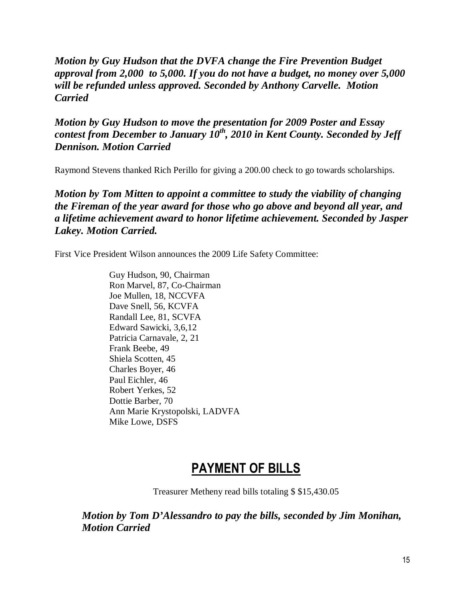*Motion by Guy Hudson that the DVFA change the Fire Prevention Budget approval from 2,000 to 5,000. If you do not have a budget, no money over 5,000 will be refunded unless approved. Seconded by Anthony Carvelle. Motion Carried* 

*Motion by Guy Hudson to move the presentation for 2009 Poster and Essay contest from December to January 10th, 2010 in Kent County. Seconded by Jeff Dennison. Motion Carried* 

Raymond Stevens thanked Rich Perillo for giving a 200.00 check to go towards scholarships.

*Motion by Tom Mitten to appoint a committee to study the viability of changing the Fireman of the year award for those who go above and beyond all year, and a lifetime achievement award to honor lifetime achievement. Seconded by Jasper Lakey. Motion Carried.* 

First Vice President Wilson announces the 2009 Life Safety Committee:

 Guy Hudson, 90, Chairman Ron Marvel, 87, Co-Chairman Joe Mullen, 18, NCCVFA Dave Snell, 56, KCVFA Randall Lee, 81, SCVFA Edward Sawicki, 3,6,12 Patricia Carnavale, 2, 21 Frank Beebe, 49 Shiela Scotten, 45 Charles Boyer, 46 Paul Eichler, 46 Robert Yerkes, 52 Dottie Barber, 70 Ann Marie Krystopolski, LADVFA Mike Lowe, DSFS

## PAYMENT OF BILLS

Treasurer Metheny read bills totaling \$ \$15,430.05

*Motion by Tom D'Alessandro to pay the bills, seconded by Jim Monihan, Motion Carried*